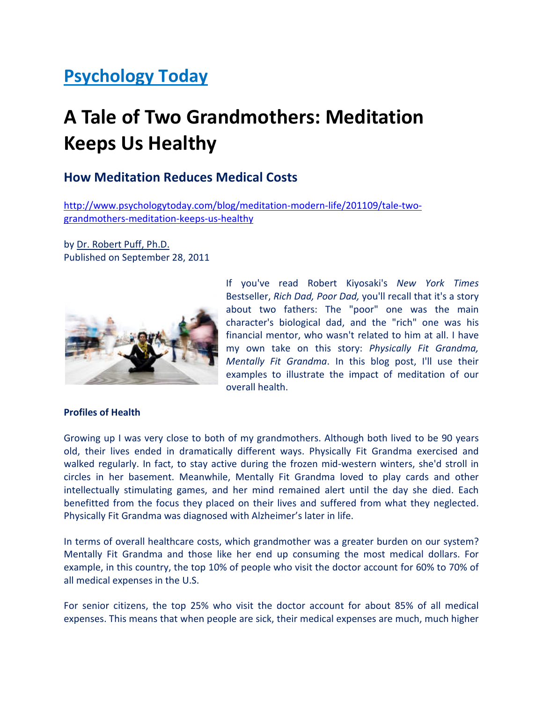## Psychology Today

# A Tale of Two Grandmothers: Meditation Keeps Us Healthy

### How Meditation Reduces Medical Costs

http://www.psychologytoday.com/blog/meditation-modern-life/201109/tale-twograndmothers-meditation-keeps-us-healthy

by Dr. Robert Puff, Ph.D. Published on September 28, 2011



If you've read Robert Kiyosaki's New York Times Bestseller, Rich Dad, Poor Dad, you'll recall that it's a story about two fathers: The "poor" one was the main character's biological dad, and the "rich" one was his financial mentor, who wasn't related to him at all. I have my own take on this story: Physically Fit Grandma, Mentally Fit Grandma. In this blog post, I'll use their examples to illustrate the impact of meditation of our overall health.

#### Profiles of Health

Growing up I was very close to both of my grandmothers. Although both lived to be 90 years old, their lives ended in dramatically different ways. Physically Fit Grandma exercised and walked regularly. In fact, to stay active during the frozen mid-western winters, she'd stroll in circles in her basement. Meanwhile, Mentally Fit Grandma loved to play cards and other intellectually stimulating games, and her mind remained alert until the day she died. Each benefitted from the focus they placed on their lives and suffered from what they neglected. Physically Fit Grandma was diagnosed with Alzheimer's later in life.

In terms of overall healthcare costs, which grandmother was a greater burden on our system? Mentally Fit Grandma and those like her end up consuming the most medical dollars. For example, in this country, the top 10% of people who visit the doctor account for 60% to 70% of all medical expenses in the U.S.

For senior citizens, the top 25% who visit the doctor account for about 85% of all medical expenses. This means that when people are sick, their medical expenses are much, much higher